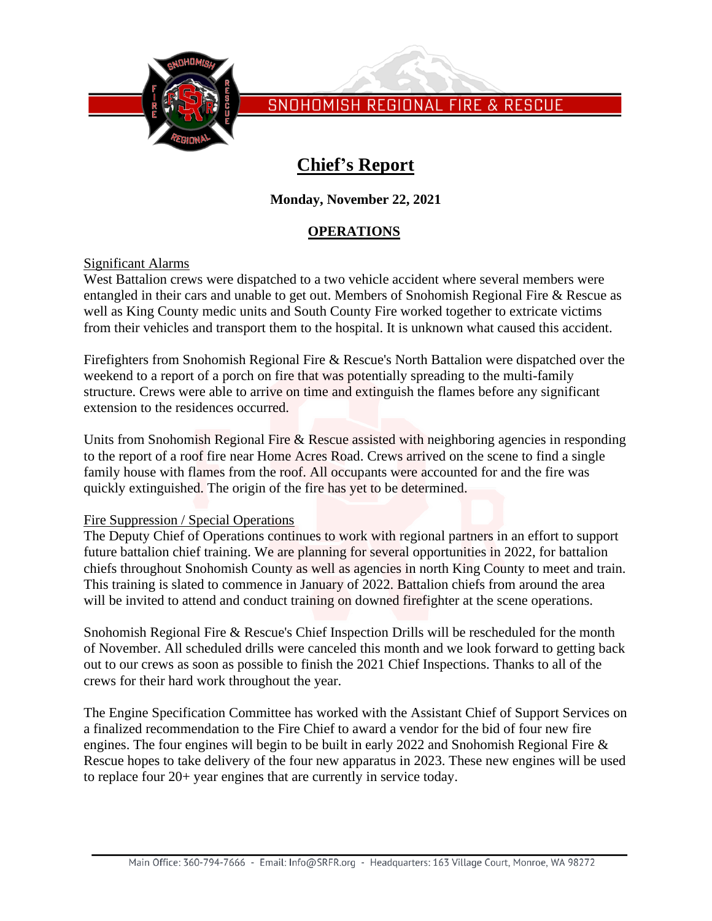

# **Chief's Report**

## **Monday, November 22, 2021**

## **OPERATIONS**

## Significant Alarms

West Battalion crews were dispatched to a two vehicle accident where several members were entangled in their cars and unable to get out. Members of Snohomish Regional Fire & Rescue as well as King County medic units and South County Fire worked together to extricate victims from their vehicles and transport them to the hospital. It is unknown what caused this accident.

Firefighters from Snohomish Regional Fire & Rescue's North Battalion were dispatched over the weekend to a report of a porch on fire that was potentially spreading to the multi-family structure. Crews were able to arrive on time and extinguish the flames before any significant extension to the residences occurred.

Units from Snohomish Regional Fire & Rescue assisted with neighboring agencies in responding to the report of a roof fire near Home Acres Road. Crews arrived on the scene to find a single family house with flames from the roof. All occupants were accounted for and the fire was quickly extinguished. The origin of the fire has yet to be determined.

## Fire Suppression / Special Operations

The Deputy Chief of Operations continues to work with regional partners in an effort to support future battalion chief training. We are planning for several opportunities in 2022, for battalion chiefs throughout Snohomish County as well as agencies in north King County to meet and train. This training is slated to commence in January of 2022. Battalion chiefs from around the area will be invited to attend and conduct training on downed firefighter at the scene operations.

Snohomish Regional Fire & Rescue's Chief Inspection Drills will be rescheduled for the month of November. All scheduled drills were canceled this month and we look forward to getting back out to our crews as soon as possible to finish the 2021 Chief Inspections. Thanks to all of the crews for their hard work throughout the year.

The Engine Specification Committee has worked with the Assistant Chief of Support Services on a finalized recommendation to the Fire Chief to award a vendor for the bid of four new fire engines. The four engines will begin to be built in early 2022 and Snohomish Regional Fire & Rescue hopes to take delivery of the four new apparatus in 2023. These new engines will be used to replace four 20+ year engines that are currently in service today.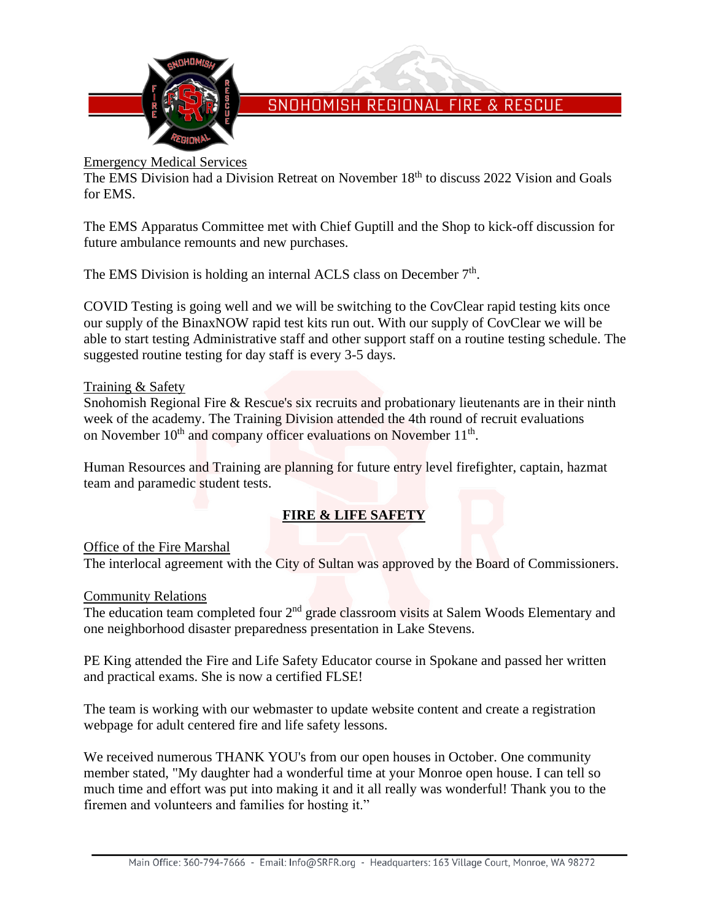

## Emergency Medical Services

The EMS Division had a Division Retreat on November 18<sup>th</sup> to discuss 2022 Vision and Goals for EMS.

The EMS Apparatus Committee met with Chief Guptill and the Shop to kick-off discussion for future ambulance remounts and new purchases.

The EMS Division is holding an internal ACLS class on December 7<sup>th</sup>.

COVID Testing is going well and we will be switching to the CovClear rapid testing kits once our supply of the BinaxNOW rapid test kits run out. With our supply of CovClear we will be able to start testing Administrative staff and other support staff on a routine testing schedule. The suggested routine testing for day staff is every 3-5 days.

## Training & Safety

Snohomish Regional Fire & Rescue's six recruits and probationary lieutenants are in their ninth week of the academy. The Training Division attended the 4th round of recruit evaluations on November  $10<sup>th</sup>$  and company officer evaluations on November  $11<sup>th</sup>$ .

Human Resources and Training are planning for future entry level firefighter, captain, hazmat team and paramedic student tests.

## **FIRE & LIFE SAFETY**

## Office of the Fire Marshal

The interlocal agreement with the City of Sultan was approved by the Board of Commissioners.

## Community Relations

The education team completed four 2<sup>nd</sup> grade classroom visits at Salem Woods Elementary and one neighborhood disaster preparedness presentation in Lake Stevens.

PE King attended the Fire and Life Safety Educator course in Spokane and passed her written and practical exams. She is now a certified FLSE!

The team is working with our webmaster to update website content and create a registration webpage for adult centered fire and life safety lessons.

We received numerous THANK YOU's from our open houses in October. One community member stated, "My daughter had a wonderful time at your Monroe open house. I can tell so much time and effort was put into making it and it all really was wonderful! Thank you to the firemen and volunteers and families for hosting it."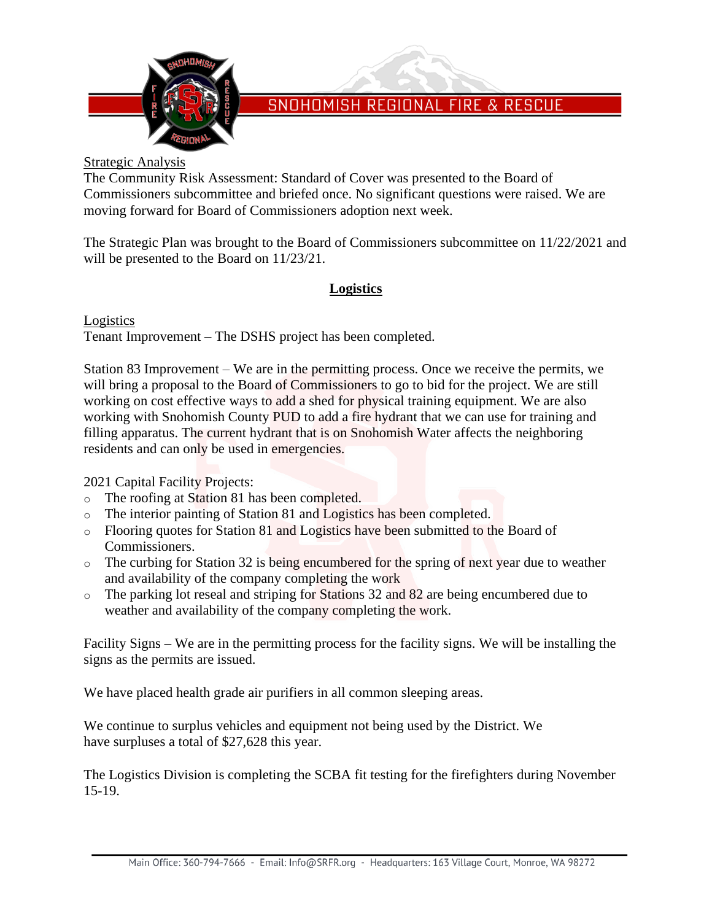

## Strategic Analysis

The Community Risk Assessment: Standard of Cover was presented to the Board of Commissioners subcommittee and briefed once. No significant questions were raised. We are moving forward for Board of Commissioners adoption next week.

The Strategic Plan was brought to the Board of Commissioners subcommittee on 11/22/2021 and will be presented to the Board on 11/23/21.

## **Logistics**

Logistics Tenant Improvement – The DSHS project has been completed.

Station 83 Improvement – We are in the permitting process. Once we receive the permits, we will bring a proposal to the Board of Commissioners to go to bid for the project. We are still working on cost effective ways to add a shed for physical training equipment. We are also working with Snohomish County PUD to add a fire hydrant that we can use for training and filling apparatus. The current hydrant that is on Snohomish Water affects the neighboring residents and can only be used in emergencies.

2021 Capital Facility Projects:

- o The roofing at Station 81 has been completed.
- o The interior painting of Station 81 and Logistics has been completed.
- o Flooring quotes for Station 81 and Logistics have been submitted to the Board of Commissioners.
- o The curbing for Station 32 is being encumbered for the spring of next year due to weather and availability of the company completing the work
- o The parking lot reseal and striping for Stations 32 and 82 are being encumbered due to weather and availability of the company completing the work.

Facility Signs – We are in the permitting process for the facility signs. We will be installing the signs as the permits are issued.

We have placed health grade air purifiers in all common sleeping areas.

We continue to surplus vehicles and equipment not being used by the District. We have surpluses a total of \$27,628 this year.

The Logistics Division is completing the SCBA fit testing for the firefighters during November 15-19.